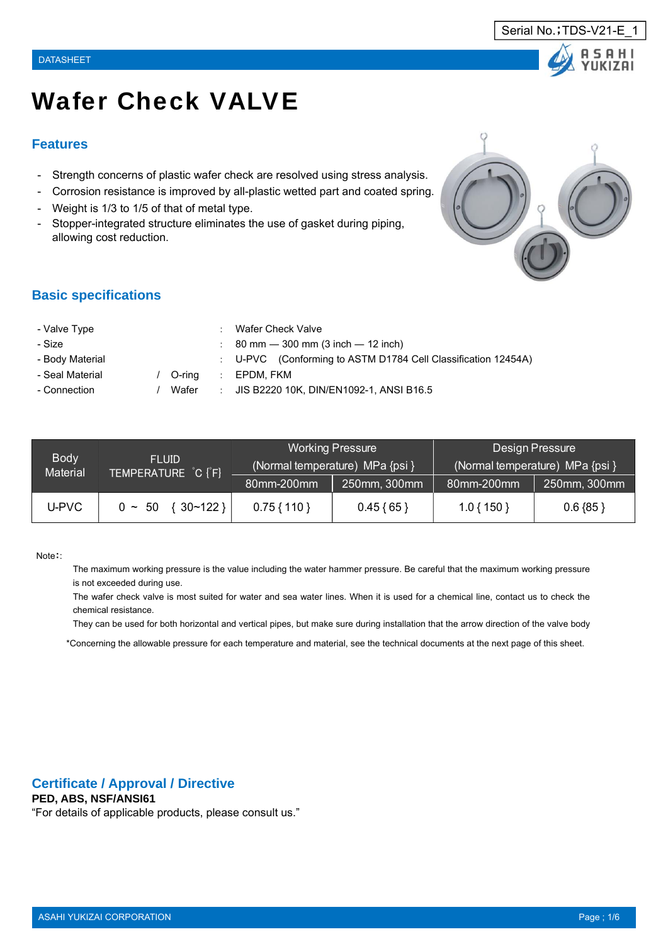# Wafer Check VALVE

#### **Features**

- Strength concerns of plastic wafer check are resolved using stress analysis.
- Corrosion resistance is improved by all-plastic wetted part and coated spring.
- Weight is 1/3 to 1/5 of that of metal type.
- Stopper-integrated structure eliminates the use of gasket during piping, allowing cost reduction.



Serial No.; TDS-V21-E

#### **Basic specifications**

| - Valve Type    |        |    | Wafer Check Valve                                             |
|-----------------|--------|----|---------------------------------------------------------------|
| - Size          |        |    | $\therefore$ 80 mm $-$ 300 mm (3 inch $-$ 12 inch)            |
| - Body Material |        |    | : U-PVC (Conforming to ASTM D1784 Cell Classification 12454A) |
| - Seal Material | O-rina | ÷. | EPDM. FKM                                                     |
| - Connection    | Wafer  | ÷. | JIS B2220 10K. DIN/EN1092-1. ANSI B16.5                       |
|                 |        |    |                                                               |

| <b>Body</b>     | <b>FLUID</b>                |               | <b>Working Pressure</b><br>(Normal temperature) MPa {psi } | Design Pressure<br>(Normal temperature) MPa {psi } |              |  |
|-----------------|-----------------------------|---------------|------------------------------------------------------------|----------------------------------------------------|--------------|--|
| <b>Material</b> | TEMPERATURE C [F]           | 80mm-200mm    | 250mm, 300mm                                               | 80mm-200mm                                         | 250mm, 300mm |  |
| U-PVC           | $\{30~122\}$<br>$0 \sim 50$ | $0.75\{110\}$ | $0.45\{65\}$                                               | $1.0\{150\}$                                       | $0.6 \{85\}$ |  |

#### Note::

The maximum working pressure is the value including the water hammer pressure. Be careful that the maximum working pressure is not exceeded during use.

The wafer check valve is most suited for water and sea water lines. When it is used for a chemical line, contact us to check the chemical resistance.

They can be used for both horizontal and vertical pipes, but make sure during installation that the arrow direction of the valve body

\*Concerning the allowable pressure for each temperature and material, see the technical documents at the next page of this sheet.

#### **Certificate / Approval / Directive**

#### **PED, ABS, NSF/ANSI61**

"For details of applicable products, please consult us."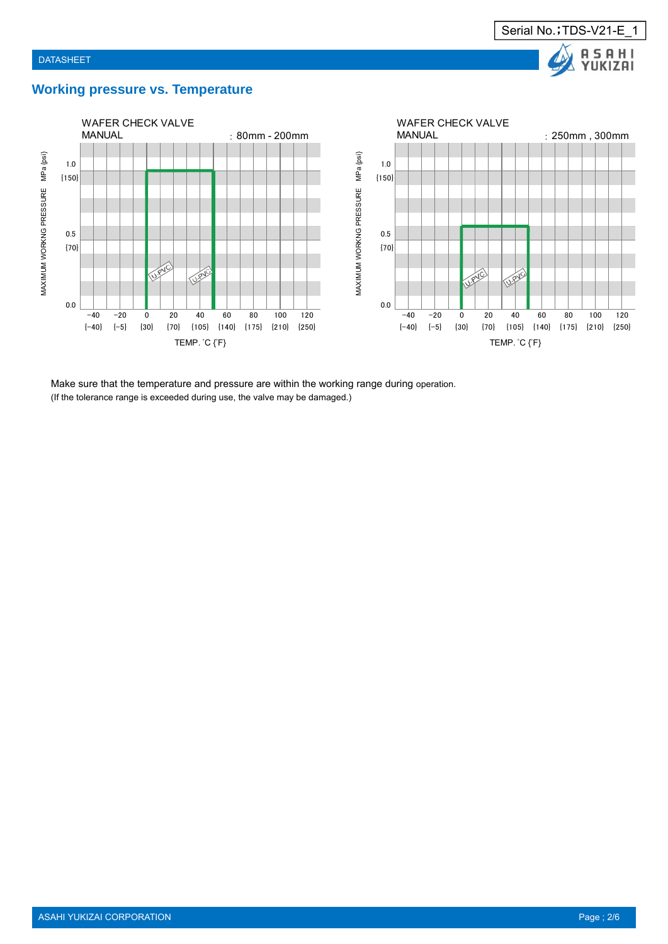

### **Working pressure vs. Temperature**



Make sure that the temperature and pressure are within the working range during operation. (If the tolerance range is exceeded during use, the valve may be damaged.)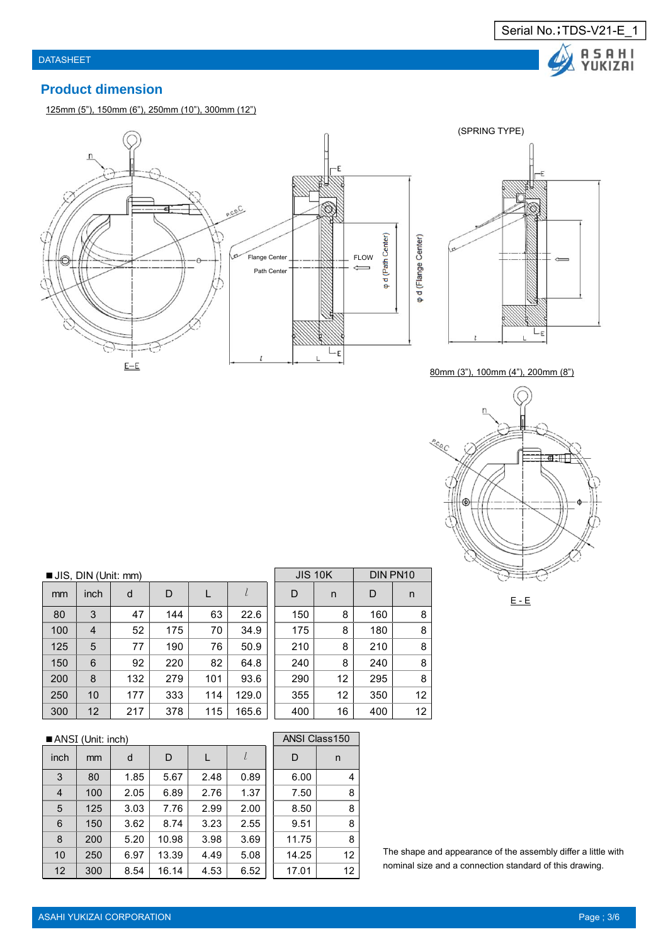

### **Product dimension**

125mm (5"), 150mm (6"), 250mm (10"), 300mm (12")





80mm (3"), 100mm (4"), 200mm (8")



#### $E - E$

■ JIS, DIN (Unit: mm)

| mm  | inch | d   | D   |     | l     | D   | n  | D   | n  |
|-----|------|-----|-----|-----|-------|-----|----|-----|----|
| 80  | 3    | 47  | 144 | 63  | 22.6  | 150 | 8  | 160 | 8  |
| 100 | 4    | 52  | 175 | 70  | 34.9  | 175 | 8  | 180 | 8  |
| 125 | 5    | 77  | 190 | 76  | 50.9  | 210 | 8  | 210 | 8  |
| 150 | 6    | 92  | 220 | 82  | 64.8  | 240 | 8  | 240 | 8  |
| 200 | 8    | 132 | 279 | 101 | 93.6  | 290 | 12 | 295 | 8  |
| 250 | 10   | 177 | 333 | 114 | 129.0 | 355 | 12 | 350 | 12 |
| 300 | 12   | 217 | 378 | 115 | 165.6 | 400 | 16 | 400 | 12 |

## ■ ANSI (Unit: inch)

| inch | mm  | d    | D     |      | l    | D     | n  |
|------|-----|------|-------|------|------|-------|----|
| 3    | 80  | 1.85 | 5.67  | 2.48 | 0.89 | 6.00  | 4  |
| 4    | 100 | 2.05 | 6.89  | 2.76 | 1.37 | 7.50  | 8  |
| 5    | 125 | 3.03 | 7.76  | 2.99 | 2.00 | 8.50  | 8  |
| 6    | 150 | 3.62 | 8.74  | 3.23 | 2.55 | 9.51  | 8  |
| 8    | 200 | 5.20 | 10.98 | 3.98 | 3.69 | 11.75 | 8  |
| 10   | 250 | 6.97 | 13.39 | 4.49 | 5.08 | 14.25 | 12 |
| 12   | 300 | 8.54 | 16.14 | 4.53 | 6.52 | 17.01 | 12 |

|     | <b>JIS 10K</b> | DIN PN10 |    |
|-----|----------------|----------|----|
| D   | n              | D        | n  |
| 150 | 8              | 160      | 8  |
| 175 | 8              | 180      | 8  |
| 210 | 8              | 210      | 8  |
| 240 | 8              | 240      | 8  |
| 290 | 12             | 295      | 8  |
| 355 | 12             | 350      | 12 |
| 400 | 16             | 400      | 12 |
|     |                |          |    |

|                | <b>ANSI Class150</b> |    |
|----------------|----------------------|----|
|                | D                    | n  |
| 9              | 6.00                 | 4  |
| 7              | 7.50                 | 8  |
| 0              | 8.50                 | 8  |
| 5              | 9.51                 | 8  |
| 9              | 11.75                | 8  |
| 8              | 14.25                | 12 |
| $\overline{c}$ | 17.01                | 12 |

The shape and appearance of the assembly differ a little with nominal size and a connection standard of this drawing.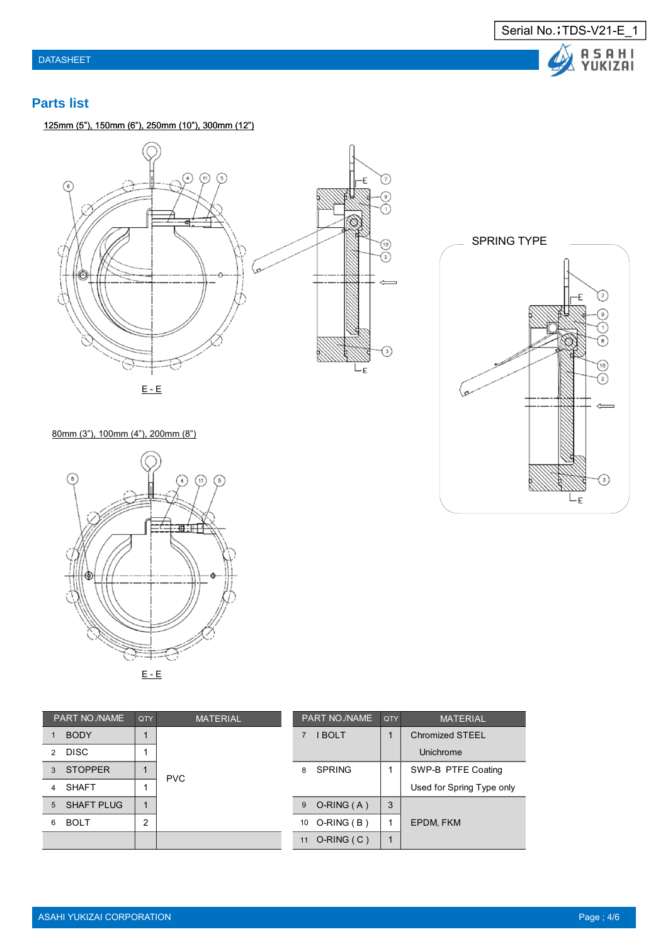

### **Parts list**

125mm (5"), 150mm (6"), 250mm (10"), 300mm (12")





80mm (3"), 100mm (4"), 200mm (8")



| PART NO./NAME                | QTY | <b>MATERIAL</b> |    | <b>PART NO./NAME</b> | QTY | <b>MATERIAL</b>           |
|------------------------------|-----|-----------------|----|----------------------|-----|---------------------------|
| <b>BODY</b>                  |     |                 |    | <b>I BOLT</b>        |     | Chromized STEEL           |
| <b>DISC</b><br>$\mathcal{P}$ |     |                 |    |                      |     | Unichrome                 |
| <b>STOPPER</b><br>3          |     | <b>PVC</b>      |    | 8 SPRING             |     | SWP-B PTFE Coating        |
| <b>SHAFT</b><br>4            |     |                 |    |                      |     | Used for Spring Type only |
| 5 <sup>5</sup><br>SHAFT PLUG |     |                 | 9  | $O-RING(A)$          | 3   |                           |
| <b>BOLT</b><br>6             | 2   |                 |    | 10 O-RING (B)        |     | EPDM, FKM                 |
|                              |     |                 | 11 | $O-RING(C)$          |     |                           |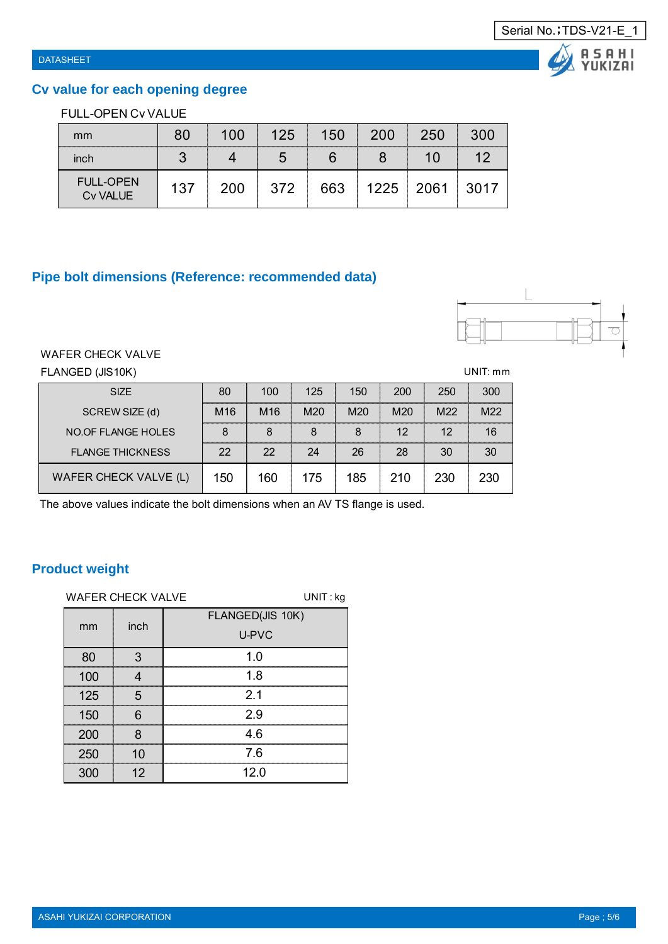A S A H I<br>YUKIZAI

### **Cv value for each opening degree**

### FULL-OPEN Cv VALUE

| mm                                  | 80  | 100 | 125 | 150 | 200  | 250  | 300  |
|-------------------------------------|-----|-----|-----|-----|------|------|------|
| inch                                | 3   |     | ა   | 6   |      | 10   | 12   |
| <b>FULL-OPEN</b><br><b>Cv VALUE</b> | 137 | 200 | 372 | 663 | 1225 | 2061 | 3017 |

### **Pipe bolt dimensions (Reference: recommended data)**



#### WAFER CHECK VALVE

FLANGED (JIS10K) UNIT: mm

| <b>SIZE</b>               | 80              | 100             | 125             | 150             | 200             | 250 | 300 |
|---------------------------|-----------------|-----------------|-----------------|-----------------|-----------------|-----|-----|
| SCREW SIZE (d)            | M <sub>16</sub> | M <sub>16</sub> | M <sub>20</sub> | M <sub>20</sub> | M <sub>20</sub> | M22 | M22 |
| <b>NO.OF FLANGE HOLES</b> | 8               | 8               | 8               | 8               | 12 <sup>°</sup> | 12  | 16  |
| <b>FLANGE THICKNESS</b>   | 22              | 22              | 24              | 26              | 28              | 30  | 30  |
| WAFER CHECK VALVE (L)     | 150             | 160             | 175             | 185             | 210             | 230 | 230 |

The above values indicate the bolt dimensions when an AV TS flange is used.

### **Product weight**

|     | <b>WAFER CHECK VALVE</b> | $UNIT:$ kg                |
|-----|--------------------------|---------------------------|
| mm  | inch                     | FLANGED(JIS 10K)<br>U-PVC |
| 80  | 3                        | 1.0                       |
| 100 | 4                        | 1.8                       |
| 125 | 5                        | 2.1                       |
| 150 | 6                        | 2.9                       |
| 200 | 8                        | 4.6                       |
| 250 | 10                       | 7.6                       |
| 300 | 12                       | 12.0                      |